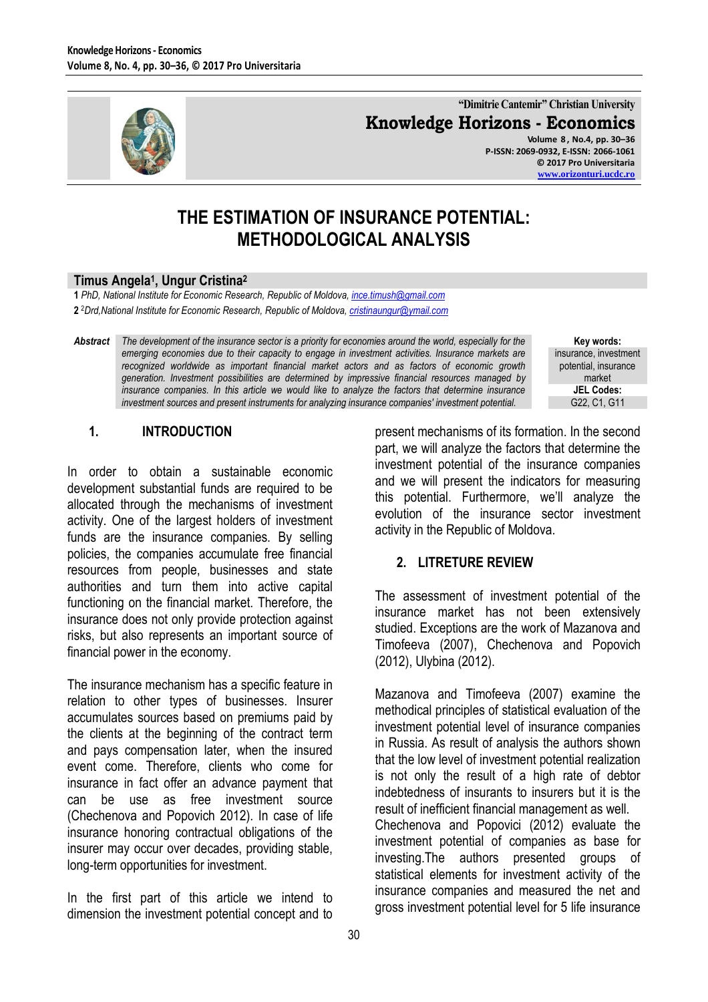

**"Dimitrie Cantemir" Christian University Knowledge Horizons - Economics Volume 8 , No.4, pp. 30–36**

**P-ISSN: 2069-0932, E-ISSN: 2066-1061 © 2017 Pro Universitaria [www.orizonturi.ucdc.ro](http://www.orizonturi.ucdc.ro/)**

# **THE ESTIMATION OF INSURANCE POTENTIAL: METHODOLOGICAL ANALYSIS**

#### **Timus Angela<sup>1</sup> , Ungur Cristina<sup>2</sup>**

**1** *PhD, National Institute for Economic Research, Republic of Moldova[, ince.timush@gmail.com](mailto:ince.timush@gmail.com)* **2** <sup>2</sup>*Drd,National Institute for Economic Research, Republic of Moldova, [cristinaungur@ymail.com](mailto:cristinaungur@ymail.com)*

*Abstract The development of the insurance sector is a priority for economies around the world, especially for the emerging economies due to their capacity to engage in investment activities. Insurance markets are recognized worldwide as important financial market actors and as factors of economic growth generation. Investment possibilities are determined by impressive financial resources managed by insurance companies. In this article we would like to analyze the factors that determine insurance investment sources and present instruments for analyzing insurance companies' investment potential.*

**Key words:** insurance, investment potential, insurance market **JEL Codes:** G22, C1, G11

#### **1. INTRODUCTION**

In order to obtain a sustainable economic development substantial funds are required to be allocated through the mechanisms of investment activity. One of the largest holders of investment funds are the insurance companies. By selling policies, the companies accumulate free financial resources from people, businesses and state authorities and turn them into active capital functioning on the financial market. Therefore, the insurance does not only provide protection against risks, but also represents an important source of financial power in the economy.

The insurance mechanism has a specific feature in relation to other types of businesses. Insurer accumulates sources based on premiums paid by the clients at the beginning of the contract term and pays compensation later, when the insured event come. Therefore, clients who come for insurance in fact offer an advance payment that can be use as free investment source (Chechenova and Popovich 2012). In case of life insurance honoring contractual obligations of the insurer may occur over decades, providing stable, long-term opportunities for investment.

In the first part of this article we intend to dimension the investment potential concept and to present mechanisms of its formation. In the second part, we will analyze the factors that determine the investment potential of the insurance companies and we will present the indicators for measuring this potential. Furthermore, we'll analyze the evolution of the insurance sector investment activity in the Republic of Moldova.

#### **2. LITRETURE REVIEW**

The assessment of investment potential of the insurance market has not been extensively studied. Exceptions are the work of Mazanova and Timofeeva (2007), Chechenova and Popovich (2012), Ulybina (2012).

Mazanova and Timofeeva (2007) examine the methodical principles of statistical evaluation of the investment potential level of insurance companies in Russia. As result of analysis the authors shown that the low level of investment potential realization is not only the result of a high rate of debtor indebtedness of insurants to insurers but it is the result of inefficient financial management as well. Chechenova and Popovici (2012) evaluate the investment potential of companies as base for investing.The authors presented groups of statistical elements for investment activity of the insurance companies and measured the net and gross investment potential level for 5 life insurance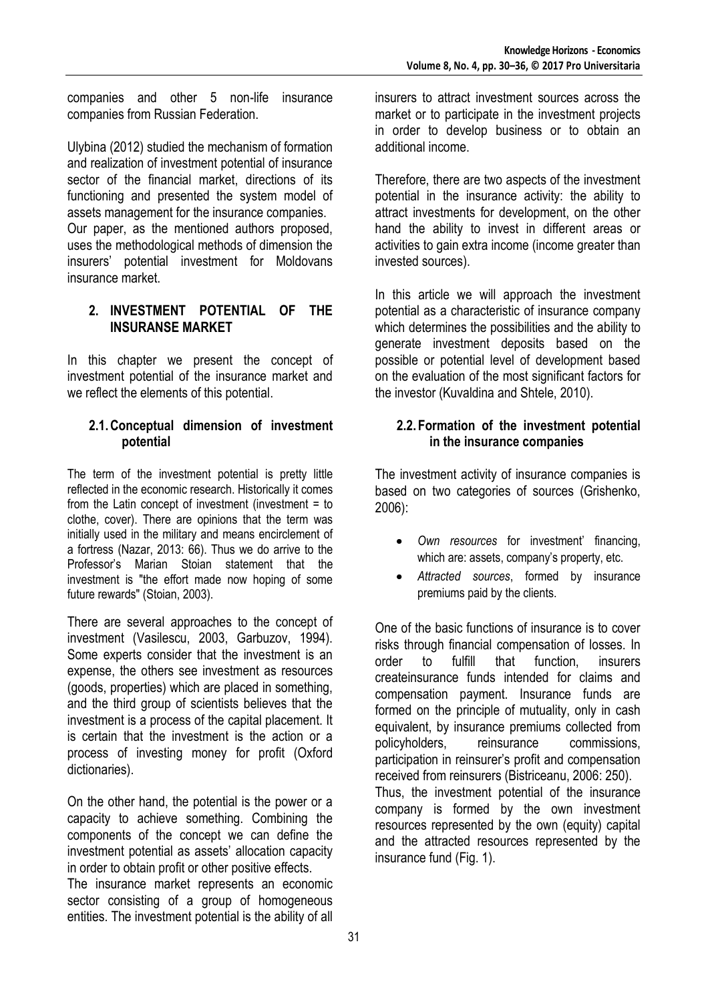companies and other 5 non-life insurance companies from Russian Federation.

Ulybina (2012) studied the mechanism of formation and realization of investment potential of insurance sector of the financial market, directions of its functioning and presented the system model of assets management for the insurance companies. Our paper, as the mentioned authors proposed, uses the methodological methods of dimension the insurers' potential investment for Moldovans insurance market.

#### **2. INVESTMENT POTENTIAL OF THE INSURANSE MARKET**

In this chapter we present the concept of investment potential of the insurance market and we reflect the elements of this potential.

#### **2.1.Conceptual dimension of investment potential**

The term of the investment potential is pretty little reflected in the economic research. Historically it comes from the Latin concept of investment (investment = to clothe, cover). There are opinions that the term was initially used in the military and means encirclement of a fortress (Nazar, 2013: 66). Thus we do arrive to the Professor's Marian Stoian statement that the investment is "the effort made now hoping of some future rewards" (Stoian, 2003).

There are several approaches to the concept of investment (Vasilescu, 2003, Garbuzov, 1994). Some experts consider that the investment is an expense, the others see investment as resources (goods, properties) which are placed in something, and the third group of scientists believes that the investment is a process of the capital placement. It is certain that the investment is the action or a process of investing money for profit (Oxford dictionaries).

On the other hand, the potential is the power or a capacity to achieve something. Combining the components of the concept we can define the investment potential as assets' allocation capacity in order to obtain profit or other positive effects.

The insurance market represents an economic sector consisting of a group of homogeneous entities. The investment potential is the ability of all

insurers to attract investment sources across the market or to participate in the investment projects in order to develop business or to obtain an additional income.

Therefore, there are two aspects of the investment potential in the insurance activity: the ability to attract investments for development, on the other hand the ability to invest in different areas or activities to gain extra income (income greater than invested sources).

In this article we will approach the investment potential as a characteristic of insurance company which determines the possibilities and the ability to generate investment deposits based on the possible or potential level of development based on the evaluation of the most significant factors for the investor (Kuvaldina and Shtele, 2010).

# **2.2.Formation of the investment potential in the insurance companies**

The investment activity of insurance companies is based on two categories of sources (Grishenko, 2006):

- *Own resources* for investment' financing, which are: assets, company's property, etc.
- *Attracted sources*, formed by insurance premiums paid by the clients.

One of the basic functions of insurance is to cover risks through financial compensation of losses. In order to fulfill that function, insurers createinsurance funds intended for claims and compensation payment. Insurance funds are formed on the principle of mutuality, only in cash equivalent, by insurance premiums collected from policyholders, reinsurance commissions, participation in reinsurer's profit and compensation received from reinsurers (Bistriceanu, 2006: 250). Thus, the investment potential of the insurance company is formed by the own investment resources represented by the own (equity) capital and the attracted resources represented by the insurance fund (Fig. 1).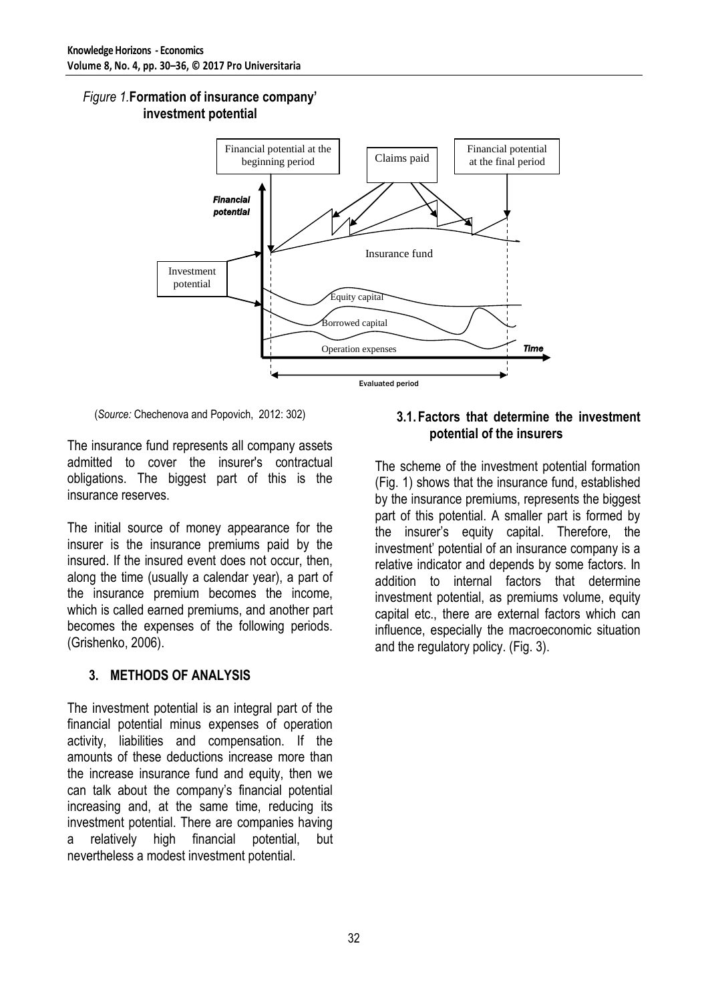#### *Figure 1.***Formation of insurance company' investment potential**



(*Source:* Chechenova and Popovich, 2012: 302)

The insurance fund represents all company assets admitted to cover the insurer's contractual obligations. The biggest part of this is the insurance reserves.

The initial source of money appearance for the insurer is the insurance premiums paid by the insured. If the insured event does not occur, then, along the time (usually a calendar year), a part of the insurance premium becomes the income, which is called earned premiums, and another part becomes the expenses of the following periods. (Grishenko, 2006).

# **3. METHODS OF ANALYSIS**

The investment potential is an integral part of the financial potential minus expenses of operation activity, liabilities and compensation. If the amounts of these deductions increase more than the increase insurance fund and equity, then we can talk about the company's financial potential increasing and, at the same time, reducing its investment potential. There are companies having a relatively high financial potential, but nevertheless a modest investment potential.

#### **3.1.Factors that determine the investment potential of the insurers**

The scheme of the investment potential formation (Fig. 1) shows that the insurance fund, established by the insurance premiums, represents the biggest part of this potential. A smaller part is formed by the insurer's equity capital. Therefore, the investment' potential of an insurance company is a relative indicator and depends by some factors. In addition to internal factors that determine investment potential, as premiums volume, equity capital etc., there are external factors which can influence, especially the macroeconomic situation and the regulatory policy. (Fig. 3).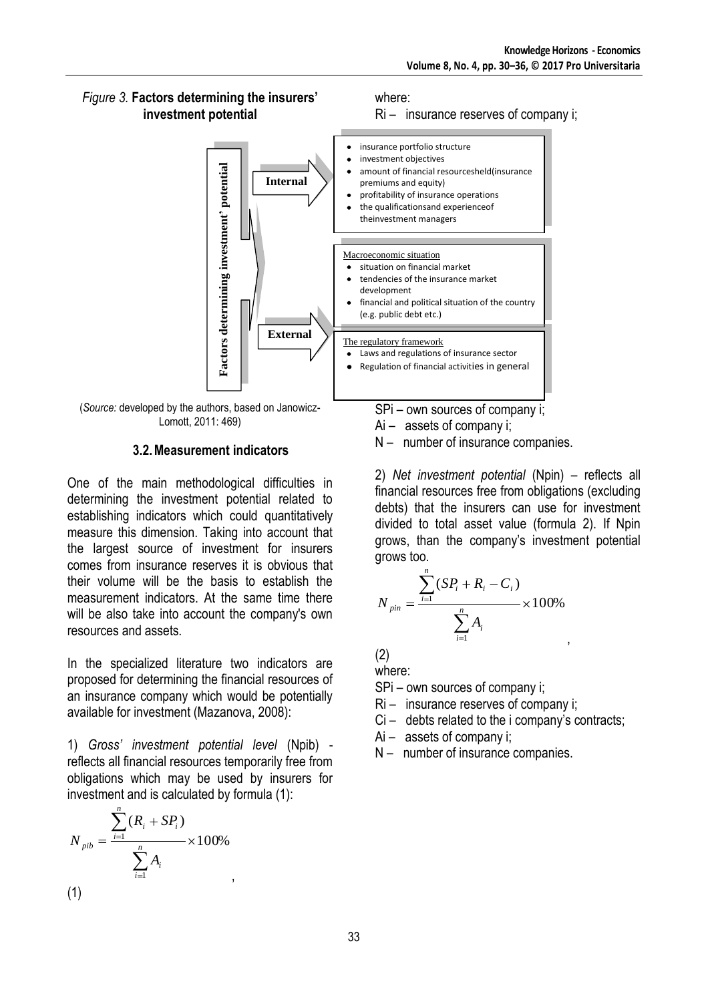Ri – insurance reserves of company i;

#### *Figure 3.* **Factors determining the insurers' investment potential**



where:

(*Source:* developed by the authors, based on Janowicz-Lomott, 2011: 469)

# **3.2.Measurement indicators**

One of the main methodological difficulties in determining the investment potential related to establishing indicators which could quantitatively measure this dimension. Taking into account that the largest source of investment for insurers comes from insurance reserves it is obvious that their volume will be the basis to establish the measurement indicators. At the same time there will be also take into account the company's own resources and assets.

In the specialized literature two indicators are proposed for determining the financial resources of an insurance company which would be potentially available for investment (Mazanova, 2008):

1) *Gross' investment potential level* (Npib) reflects all financial resources temporarily free from obligations which may be used by insurers for investment and is calculated by formula (1):

$$
N_{pib} = \frac{\sum_{i=1}^{n} (R_i + SP_i)}{\sum_{i=1}^{n} A_i} \times 100\%
$$
\n(1)

SPi – own sources of company i;

- Ai assets of company i;
- N number of insurance companies.

2) *Net investment potential* (Npin) – reflects all financial resources free from obligations (excluding debts) that the insurers can use for investment divided to total asset value (formula 2). If Npin grows, than the company's investment potential grows too.

,

$$
N_{pin} = \frac{\sum_{i=1}^{n} (SP_i + R_i - C_i)}{\sum_{i=1}^{n} A_i} \times 100\%
$$

(2)

where:

SPi – own sources of company i;

- Ri insurance reserves of company i;
- Ci debts related to the i company's contracts;
- Ai assets of company i;

N – number of insurance companies.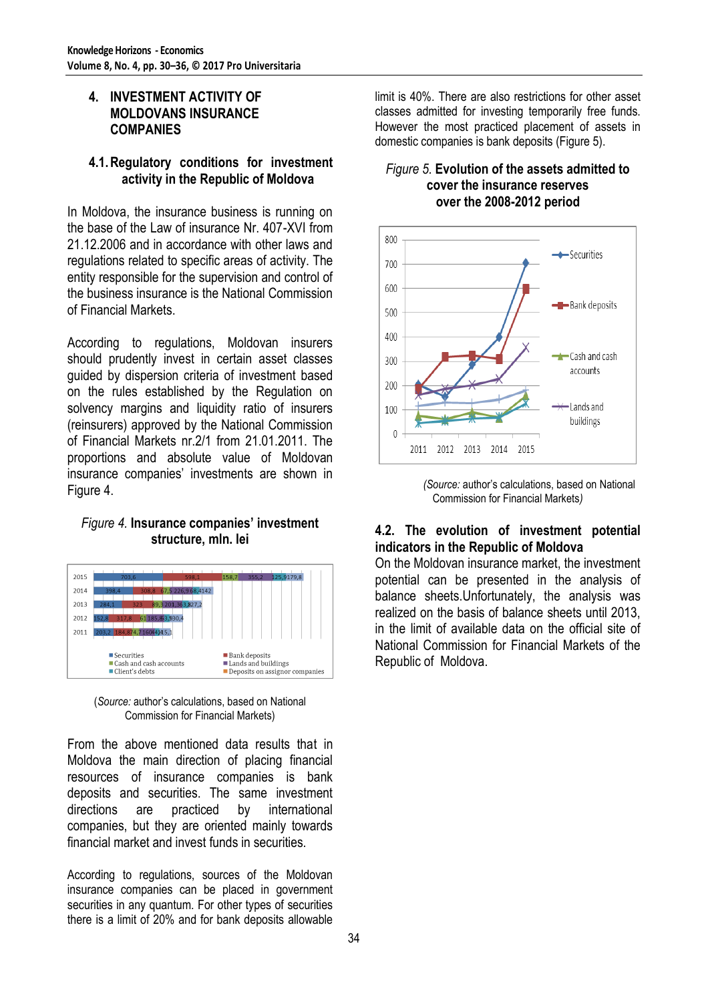#### **4. INVESTMENT ACTIVITY OF MOLDOVANS INSURANCE COMPANIES**

#### **4.1.Regulatory conditions for investment activity in the Republic of Moldova**

In Moldova, the insurance business is running on the base of the Law of insurance Nr. 407-XVI from 21.12.2006 and in accordance with other laws and regulations related to specific areas of activity. The entity responsible for the supervision and control of the business insurance is the National Commission of Financial Markets.

According to regulations, Moldovan insurers should prudently invest in certain asset classes guided by dispersion criteria of investment based on the rules established by the Regulation on solvency margins and liquidity ratio of insurers (reinsurers) approved by the National Commission of Financial Markets nr.2/1 from 21.01.2011. The proportions and absolute value of Moldovan insurance companies' investments are shown in Figure 4.

#### *Figure 4.* **Insurance companies' investment structure, mln. lei**



(*Source:* author's calculations, based on National Commission for Financial Markets)

From the above mentioned data results that in Moldova the main direction of placing financial resources of insurance companies is bank deposits and securities. The same investment directions are practiced by international companies, but they are oriented mainly towards financial market and invest funds in securities.

According to regulations, sources of the Moldovan insurance companies can be placed in government securities in any quantum. For other types of securities there is a limit of 20% and for bank deposits allowable

limit is 40%. There are also restrictions for other asset classes admitted for investing temporarily free funds. However the most practiced placement of assets in domestic companies is bank deposits (Figure 5).

#### *Figure 5.* **Evolution of the assets admitted to cover the insurance reserves over the 2008-2012 period**



*(Source:* author's calculations, based on National Commission for Financial Markets*)*

#### **4.2. The evolution of investment potential indicators in the Republic of Moldova**

On the Moldovan insurance market, the investment potential can be presented in the analysis of balance sheets.Unfortunately, the analysis was realized on the basis of balance sheets until 2013, in the limit of available data on the official site of National Commission for Financial Markets of the Republic of Moldova.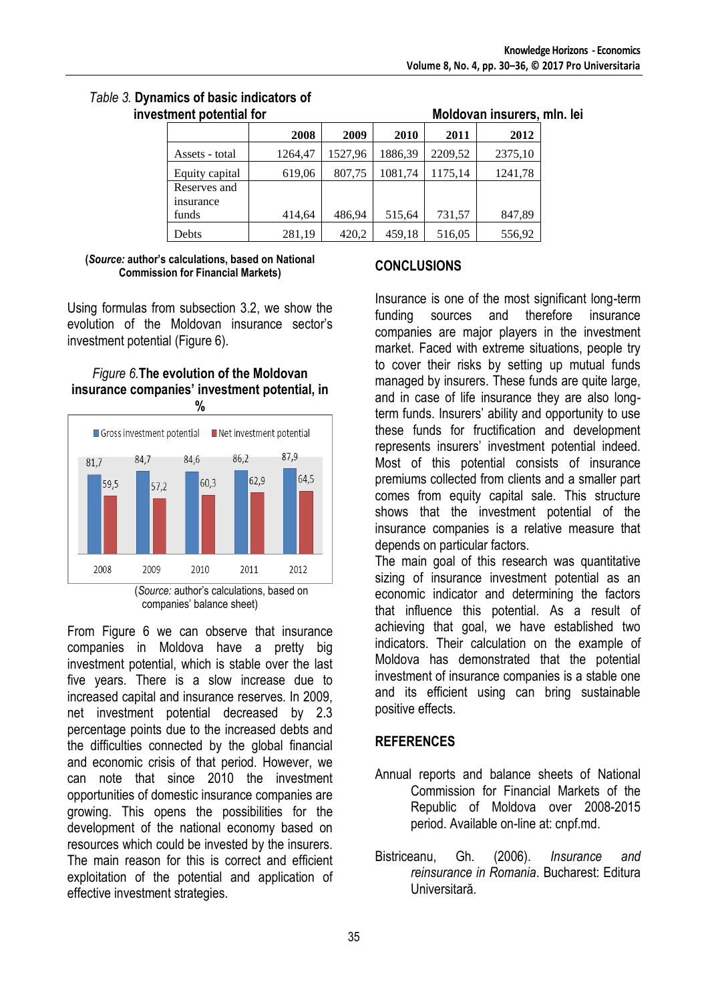# *Table 3.* **Dynamics of basic indicators of**

| tment potential for       |         |         | Moldovan insurers, mln. lei |         |         |  |
|---------------------------|---------|---------|-----------------------------|---------|---------|--|
|                           | 2008    | 2009    | 2010                        | 2011    | 2012    |  |
| Assets - total            | 1264,47 | 1527,96 | 1886,39                     | 2209,52 | 2375,10 |  |
| Equity capital            | 619,06  | 807,75  | 1081,74                     | 1175,14 | 1241,78 |  |
| Reserves and<br>insurance |         |         |                             |         |         |  |
| funds                     | 414,64  | 486,94  | 515,64                      | 731,57  | 847,89  |  |
| Debts                     | 281,19  | 420,2   | 459,18                      | 516,05  | 556,92  |  |

#### **(***Source:* **author's calculations, based on National Commission for Financial Markets)**

Using formulas from subsection 3.2, we show the evolution of the Moldovan insurance sector's investment potential (Figure 6).

# *Figure 6.***The evolution of the Moldovan insurance companies' investment potential, in**



companies' balance sheet)

From Figure 6 we can observe that insurance companies in Moldova have a pretty big investment potential, which is stable over the last five years. There is a slow increase due to increased capital and insurance reserves. In 2009, net investment potential decreased by 2.3 percentage points due to the increased debts and the difficulties connected by the global financial and economic crisis of that period. However, we can note that since 2010 the investment opportunities of domestic insurance companies are growing. This opens the possibilities for the development of the national economy based on resources which could be invested by the insurers. The main reason for this is correct and efficient exploitation of the potential and application of effective investment strategies.

# **CONCLUSIONS**

Insurance is one of the most significant long-term funding sources and therefore insurance companies are major players in the investment market. Faced with extreme situations, people try to cover their risks by setting up mutual funds managed by insurers. These funds are quite large, and in case of life insurance they are also longterm funds. Insurers' ability and opportunity to use these funds for fructification and development represents insurers' investment potential indeed. Most of this potential consists of insurance premiums collected from clients and a smaller part comes from equity capital sale. This structure shows that the investment potential of the insurance companies is a relative measure that depends on particular factors.

The main goal of this research was quantitative sizing of insurance investment potential as an economic indicator and determining the factors that influence this potential. As a result of achieving that goal, we have established two indicators. Their calculation on the example of Moldova has demonstrated that the potential investment of insurance companies is a stable one and its efficient using can bring sustainable positive effects.

# **REFERENCES**

- Annual reports and balance sheets of National Commission for Financial Markets of the Republic of Moldova over 2008-2015 period. Available on-line at: cnpf.md.
- Bistriceanu, Gh. (2006). *Insurance and reinsurance in Romania*. Bucharest: Editura Universitară.